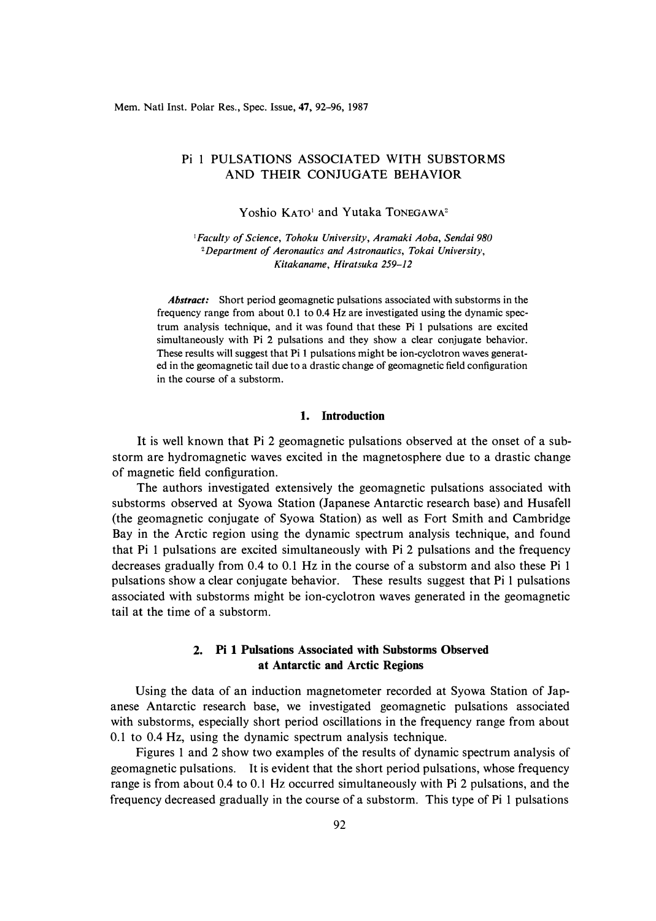# Pi 1 PULSATIONS ASSOCIATED WITH SUBSTORMS AND THEIR CONJUGATE BEHAVIOR

Yoshio KATO<sup>1</sup> and Yutaka TONEGAWA<sup>2</sup>

<sup>1</sup>*Faculty of Science, Tohoku University, Aramaki Aoba, Sendai 980 <sup>2</sup>Department of Aeronautics and Astronautics, Tokai University, Kitakaname, Hiratsuka 259-12* 

*Abstract:* Short period geomagnetic pulsations associated with substorms in the frequency range from about 0.1 to 0.4 Hz are investigated using the dynamic spectrum analysis technique, and it was found that these Pi 1 pulsations are excited simultaneously with Pi 2 pulsations and they show a clear conjugate behavior. These results will suggest that Pi 1 pulsations might be ion-cyclotron waves generated in the geomagnetic tail due to a drastic change of geomagnetic field configuration in the course of a substorm.

## **1. Introduction**

**It** is well known that Pi 2 geomagnetic pulsations observed at the onset of a substorm are hydromagnetic waves excited in the magnetosphere due to a drastic change of magnetic field configuration.

The authors investigated extensively the geomagnetic pulsations associated with substorms observed at Syowa Station (Japanese Antarctic research base) and Husafell (the geomagnetic conjugate of Syowa Station) as well as Fort Smith and Cambridge Bay in the Arctic region using the dynamic spectrum analysis technique, and found that Pi 1 pulsations are excited simultaneously with Pi 2 pulsations and the frequency decreases gradually from 0.4 to 0.1 Hz in the course of a substorm and also these Pi 1 pulsations show a clear conjugate behavior. These results suggest that Pi 1 pulsations associated with substorms might be ion-cyclotron waves generated in the geomagnetic tail at the time of a substorm.

## **2. Pi 1 Pulsations Associated with Substorms Observed at Antarctic and Arctic Regions**

Using the data of an induction magnetometer recorded at Syowa Station of Japanese Antarctic research base, we investigated geomagnetic pulsations associated with substorms, especially short period oscillations in the frequency range from about 0.1 to 0.4 Hz, using the dynamic spectrum analysis technique.

Figures 1 and 2 show two examples of the results of dynamic spectrum analysis of geomagnetic pulsations. **It** is evident that the short period pulsations, whose frequency range is from about 0.4 to 0.1 Hz occurred simultaneously with Pi 2 pulsations, and the frequency decreased gradually in the course of a substorm. This type of Pi 1 pulsations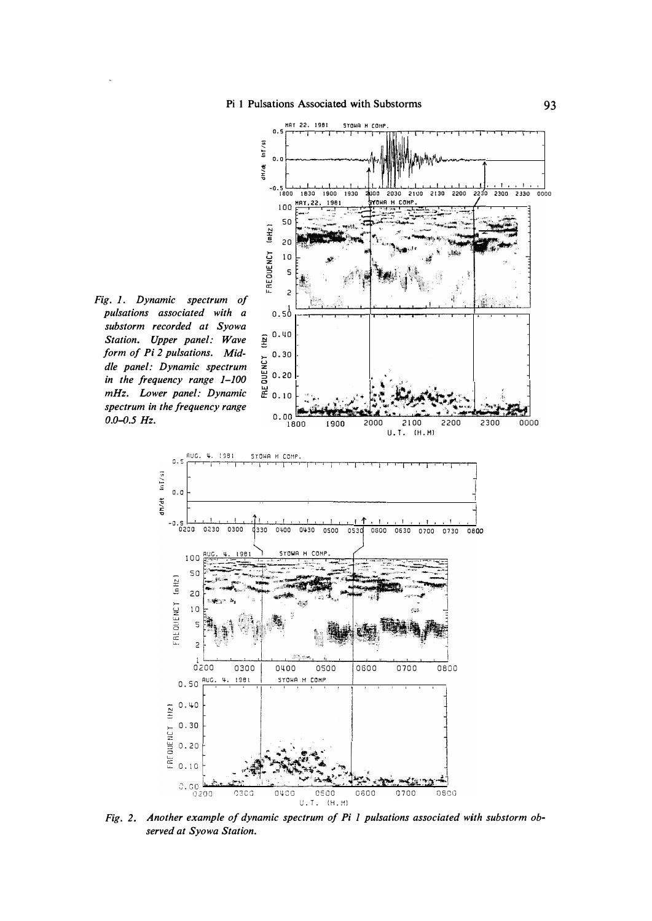

 $0.0 - 0.5$  Hz.

 $0.5$ 

 $(mHz)$ 

FREQUENCY

 $(Hz)$ 

FREQUENCY

dh/dt In [/s]

Fig. 2. Another example of dynamic spectrum of Pi 1 pulsations associated with substorm observed at Syowa Station.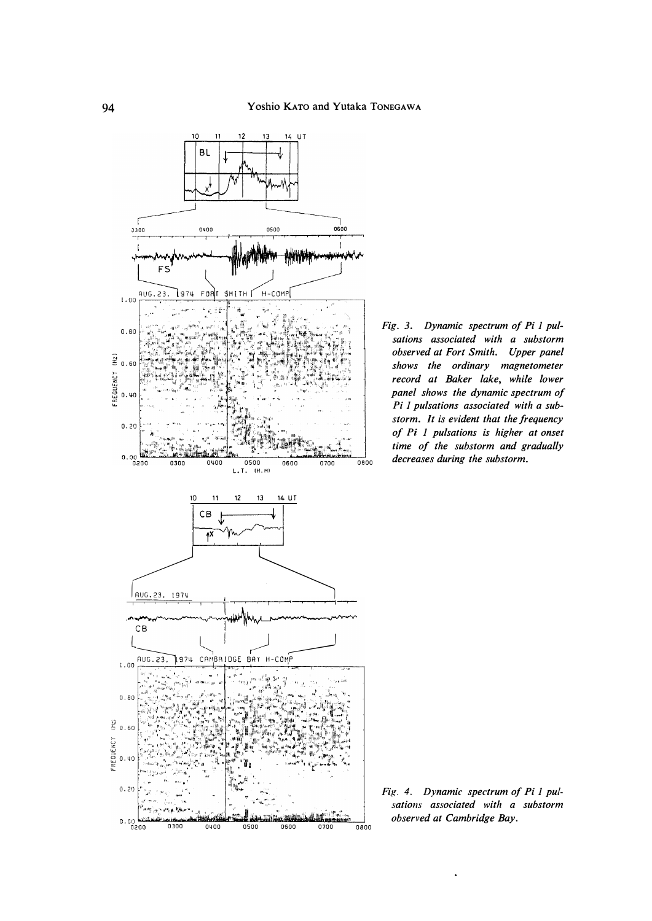

Fig. 3. Dynamic spectrum of Pi 1 pulsations associated with a substorm observed at Fort Smith. Upper panel shows the ordinary magnetometer record at Baker lake, while lower panel shows the dynamic spectrum of Pi 1 pulsations associated with a substorm. It is evident that the frequency of Pi 1 pulsations is higher at onset time of the substorm and gradually decreases during the substorm.

Fig. 4. Dynamic spectrum of Pi 1 pulsations associated with a substorm observed at Cambridge Bay.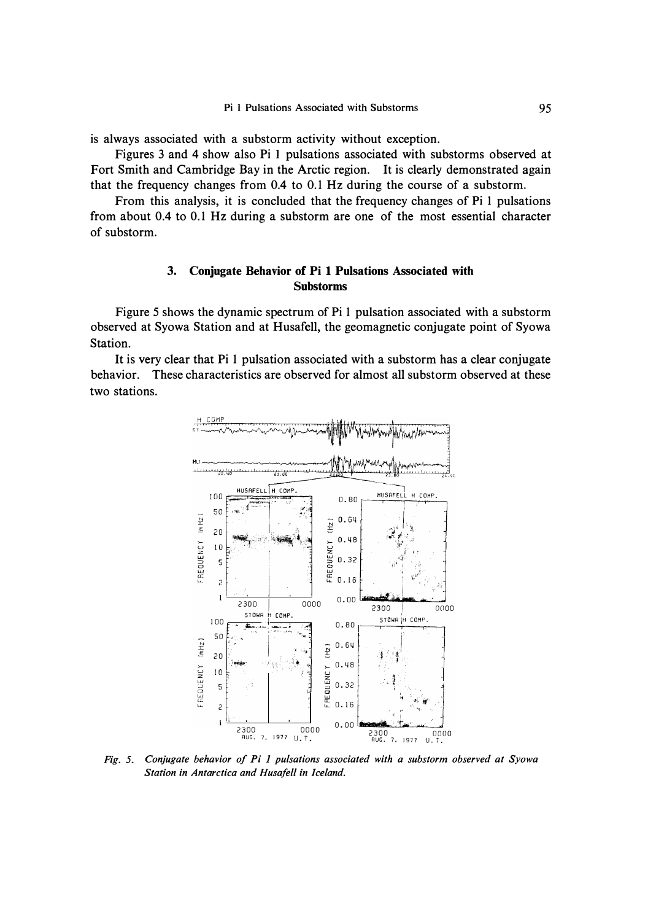is always associated with a substorm activity without exception.

Figures 3 and 4 show also Pi 1 pulsations associated with substorms observed at Fort Smith and Cambridge Bay in the Arctic region. It is clearly demonstrated again that the frequency changes from 0.4 to 0.1 Hz during the course of a substorm.

From this analysis, it is concluded that the frequency changes of Pi 1 pulsations from about 0.4 to 0.1 Hz during a substorm are one of the most essential character of substorm.

#### Conjugate Behavior of Pi 1 Pulsations Associated with 3. **Substorms**

Figure 5 shows the dynamic spectrum of Pi 1 pulsation associated with a substorm observed at Syowa Station and at Husafell, the geomagnetic conjugate point of Syowa Station.

It is very clear that Pi 1 pulsation associated with a substorm has a clear conjugate behavior. These characteristics are observed for almost all substorm observed at these two stations.



Fig. 5. Conjugate behavior of Pi 1 pulsations associated with a substorm observed at Syowa Station in Antarctica and Husafell in Iceland.